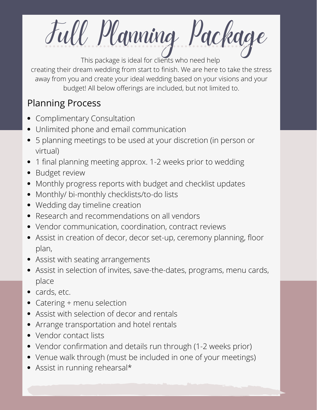Full Planning Package This package is ideal for clients who need help

creating their dream wedding from start to finish. We are here to take the stress away from you and create your ideal wedding based on your visions and your budget! All below offerings are included, but not limited to.

## Planning Process

- Complimentary Consultation
- Unlimited phone and email communication
- 5 planning meetings to be used at your discretion (in person or virtual)
- 1 final planning meeting approx. 1-2 weeks prior to wedding
- Budget review
- Monthly progress reports with budget and checklist updates
- Monthly/ bi-monthly checklists/to-do lists
- Wedding day timeline creation
- Research and recommendations on all vendors
- Vendor communication, coordination, contract reviews
- Assist in creation of decor, decor set-up, ceremony planning, floor plan,
- Assist with seating arrangements
- Assist in selection of invites, save-the-dates, programs, menu cards, place
- cards, etc.  $\bullet$
- Catering + menu selection
- Assist with selection of decor and rentals
- Arrange transportation and hotel rentals
- Vendor contact lists
- Vendor confirmation and details run through (1-2 weeks prior)
- Venue walk through (must be included in one of your meetings)
- Assist in running rehearsal\*